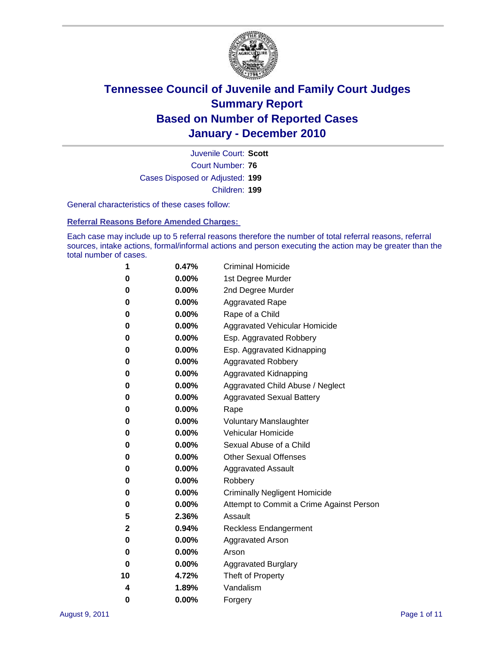

Court Number: **76** Juvenile Court: **Scott** Cases Disposed or Adjusted: **199** Children: **199**

General characteristics of these cases follow:

**Referral Reasons Before Amended Charges:** 

Each case may include up to 5 referral reasons therefore the number of total referral reasons, referral sources, intake actions, formal/informal actions and person executing the action may be greater than the total number of cases.

| 1  | 0.47%    | <b>Criminal Homicide</b>                 |  |  |  |
|----|----------|------------------------------------------|--|--|--|
| 0  | 0.00%    | 1st Degree Murder                        |  |  |  |
| 0  | 0.00%    | 2nd Degree Murder                        |  |  |  |
| 0  | 0.00%    | <b>Aggravated Rape</b>                   |  |  |  |
| 0  | 0.00%    | Rape of a Child                          |  |  |  |
| 0  | 0.00%    | Aggravated Vehicular Homicide            |  |  |  |
| 0  | 0.00%    | Esp. Aggravated Robbery                  |  |  |  |
| 0  | 0.00%    | Esp. Aggravated Kidnapping               |  |  |  |
| 0  | 0.00%    | <b>Aggravated Robbery</b>                |  |  |  |
| 0  | 0.00%    | Aggravated Kidnapping                    |  |  |  |
| 0  | 0.00%    | Aggravated Child Abuse / Neglect         |  |  |  |
| 0  | 0.00%    | <b>Aggravated Sexual Battery</b>         |  |  |  |
| 0  | 0.00%    | Rape                                     |  |  |  |
| 0  | 0.00%    | <b>Voluntary Manslaughter</b>            |  |  |  |
| 0  | 0.00%    | Vehicular Homicide                       |  |  |  |
| 0  | 0.00%    | Sexual Abuse of a Child                  |  |  |  |
| 0  | 0.00%    | <b>Other Sexual Offenses</b>             |  |  |  |
| 0  | 0.00%    | <b>Aggravated Assault</b>                |  |  |  |
| 0  | 0.00%    | Robbery                                  |  |  |  |
| 0  | 0.00%    | <b>Criminally Negligent Homicide</b>     |  |  |  |
| 0  | 0.00%    | Attempt to Commit a Crime Against Person |  |  |  |
| 5  | 2.36%    | Assault                                  |  |  |  |
| 2  | 0.94%    | <b>Reckless Endangerment</b>             |  |  |  |
| 0  | 0.00%    | <b>Aggravated Arson</b>                  |  |  |  |
| 0  | 0.00%    | Arson                                    |  |  |  |
| 0  | $0.00\%$ | <b>Aggravated Burglary</b>               |  |  |  |
| 10 | 4.72%    | Theft of Property                        |  |  |  |
| 4  | 1.89%    | Vandalism                                |  |  |  |
| 0  | 0.00%    | Forgery                                  |  |  |  |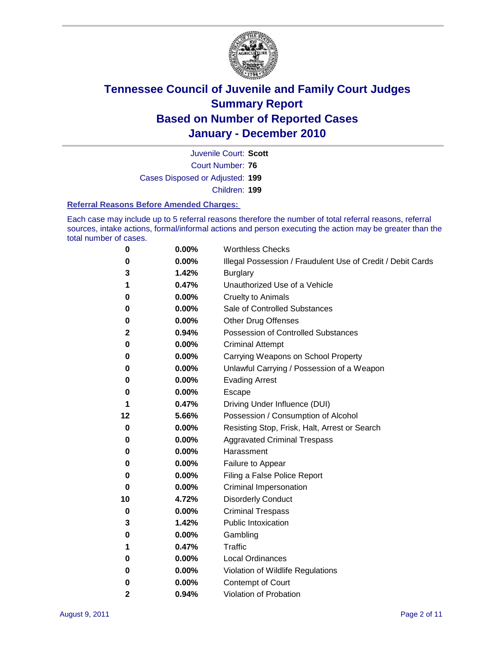

Court Number: **76** Juvenile Court: **Scott** Cases Disposed or Adjusted: **199** Children: **199**

#### **Referral Reasons Before Amended Charges:**

Each case may include up to 5 referral reasons therefore the number of total referral reasons, referral sources, intake actions, formal/informal actions and person executing the action may be greater than the total number of cases.

| 0            | 0.00% | <b>Worthless Checks</b>                                     |  |  |  |
|--------------|-------|-------------------------------------------------------------|--|--|--|
| 0            | 0.00% | Illegal Possession / Fraudulent Use of Credit / Debit Cards |  |  |  |
| 3            | 1.42% | <b>Burglary</b>                                             |  |  |  |
| 1            | 0.47% | Unauthorized Use of a Vehicle                               |  |  |  |
| 0            | 0.00% | <b>Cruelty to Animals</b>                                   |  |  |  |
| 0            | 0.00% | Sale of Controlled Substances                               |  |  |  |
| 0            | 0.00% | <b>Other Drug Offenses</b>                                  |  |  |  |
| $\mathbf{2}$ | 0.94% | Possession of Controlled Substances                         |  |  |  |
| 0            | 0.00% | <b>Criminal Attempt</b>                                     |  |  |  |
| 0            | 0.00% | Carrying Weapons on School Property                         |  |  |  |
| 0            | 0.00% | Unlawful Carrying / Possession of a Weapon                  |  |  |  |
| 0            | 0.00% | <b>Evading Arrest</b>                                       |  |  |  |
| 0            | 0.00% | Escape                                                      |  |  |  |
| 1            | 0.47% | Driving Under Influence (DUI)                               |  |  |  |
| 12           | 5.66% | Possession / Consumption of Alcohol                         |  |  |  |
| 0            | 0.00% | Resisting Stop, Frisk, Halt, Arrest or Search               |  |  |  |
| 0            | 0.00% | <b>Aggravated Criminal Trespass</b>                         |  |  |  |
| 0            | 0.00% | Harassment                                                  |  |  |  |
| 0            | 0.00% | Failure to Appear                                           |  |  |  |
| 0            | 0.00% | Filing a False Police Report                                |  |  |  |
| 0            | 0.00% | Criminal Impersonation                                      |  |  |  |
| 10           | 4.72% | <b>Disorderly Conduct</b>                                   |  |  |  |
| 0            | 0.00% | <b>Criminal Trespass</b>                                    |  |  |  |
| 3            | 1.42% | <b>Public Intoxication</b>                                  |  |  |  |
| 0            | 0.00% | Gambling                                                    |  |  |  |
| 1            | 0.47% | Traffic                                                     |  |  |  |
| 0            | 0.00% | <b>Local Ordinances</b>                                     |  |  |  |
| 0            | 0.00% | Violation of Wildlife Regulations                           |  |  |  |
| 0            | 0.00% | Contempt of Court                                           |  |  |  |
| $\mathbf{2}$ | 0.94% | Violation of Probation                                      |  |  |  |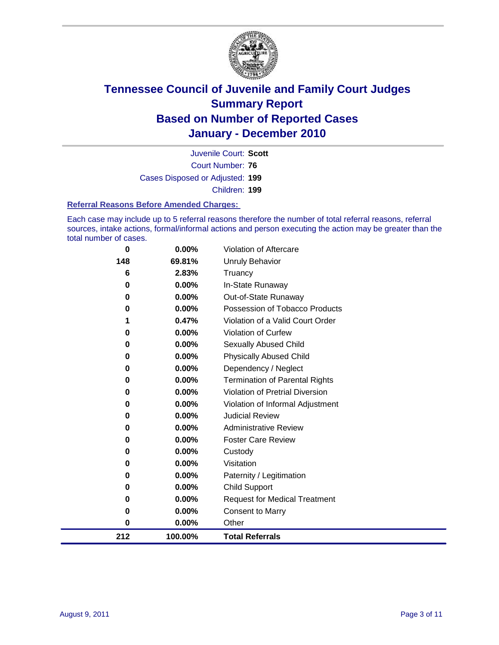

Court Number: **76** Juvenile Court: **Scott** Cases Disposed or Adjusted: **199** Children: **199**

#### **Referral Reasons Before Amended Charges:**

Each case may include up to 5 referral reasons therefore the number of total referral reasons, referral sources, intake actions, formal/informal actions and person executing the action may be greater than the total number of cases.

| 212      | 100.00% | <b>Total Referrals</b>                 |
|----------|---------|----------------------------------------|
| 0        | 0.00%   | Other                                  |
| 0        | 0.00%   | <b>Consent to Marry</b>                |
| 0        | 0.00%   | <b>Request for Medical Treatment</b>   |
| 0        | 0.00%   | <b>Child Support</b>                   |
| 0        | 0.00%   | Paternity / Legitimation               |
| 0        | 0.00%   | Visitation                             |
| 0        | 0.00%   | Custody                                |
| 0        | 0.00%   | <b>Foster Care Review</b>              |
| 0        | 0.00%   | <b>Administrative Review</b>           |
| 0        | 0.00%   | <b>Judicial Review</b>                 |
| 0        | 0.00%   | Violation of Informal Adjustment       |
| 0        | 0.00%   | <b>Violation of Pretrial Diversion</b> |
| 0        | 0.00%   | <b>Termination of Parental Rights</b>  |
| 0        | 0.00%   | Dependency / Neglect                   |
| 0        | 0.00%   | <b>Physically Abused Child</b>         |
| 0        | 0.00%   | <b>Sexually Abused Child</b>           |
| 0        | 0.00%   | Violation of Curfew                    |
| 1        | 0.47%   | Violation of a Valid Court Order       |
| 0        | 0.00%   | Possession of Tobacco Products         |
| 0        | 0.00%   | Out-of-State Runaway                   |
| $\bf{0}$ | 0.00%   | In-State Runaway                       |
| 6        | 2.83%   | Truancy                                |
| 148      | 69.81%  | <b>Unruly Behavior</b>                 |
| 0        | 0.00%   | Violation of Aftercare                 |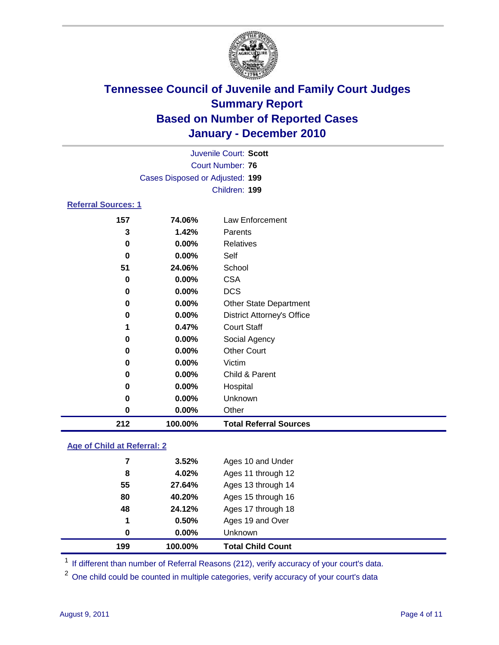

| Juvenile Court: Scott           |               |                                   |  |  |  |
|---------------------------------|---------------|-----------------------------------|--|--|--|
| <b>Court Number: 76</b>         |               |                                   |  |  |  |
| Cases Disposed or Adjusted: 199 |               |                                   |  |  |  |
|                                 | Children: 199 |                                   |  |  |  |
| <b>Referral Sources: 1</b>      |               |                                   |  |  |  |
| 157                             | 74.06%        | Law Enforcement                   |  |  |  |
| 3                               | 1.42%         | Parents                           |  |  |  |
| 0                               | 0.00%         | <b>Relatives</b>                  |  |  |  |
| 0                               | 0.00%         | Self                              |  |  |  |
| 51                              | 24.06%        | School                            |  |  |  |
| 0                               | 0.00%         | <b>CSA</b>                        |  |  |  |
| 0                               | 0.00%         | <b>DCS</b>                        |  |  |  |
| 0                               | $0.00\%$      | <b>Other State Department</b>     |  |  |  |
| 0                               | $0.00\%$      | <b>District Attorney's Office</b> |  |  |  |
| 1                               | 0.47%         | <b>Court Staff</b>                |  |  |  |
| 0                               | 0.00%         | Social Agency                     |  |  |  |
| 0                               | $0.00\%$      | <b>Other Court</b>                |  |  |  |
| 0                               | 0.00%         | Victim                            |  |  |  |
| 0                               | 0.00%         | Child & Parent                    |  |  |  |
| 0                               | 0.00%         | Hospital                          |  |  |  |
| 0                               | 0.00%         | Unknown                           |  |  |  |
| 0                               | 0.00%         | Other                             |  |  |  |
| 212                             | 100.00%       | <b>Total Referral Sources</b>     |  |  |  |

### **Age of Child at Referral: 2**

|    |        | Unknown            |  |
|----|--------|--------------------|--|
| 1  | 0.50%  | Ages 19 and Over   |  |
| 48 | 24.12% | Ages 17 through 18 |  |
| 80 | 40.20% | Ages 15 through 16 |  |
| 55 | 27.64% | Ages 13 through 14 |  |
| 8  | 4.02%  | Ages 11 through 12 |  |
| 7  | 3.52%  | Ages 10 and Under  |  |
|    |        | 0.00%<br>0         |  |

<sup>1</sup> If different than number of Referral Reasons (212), verify accuracy of your court's data.

<sup>2</sup> One child could be counted in multiple categories, verify accuracy of your court's data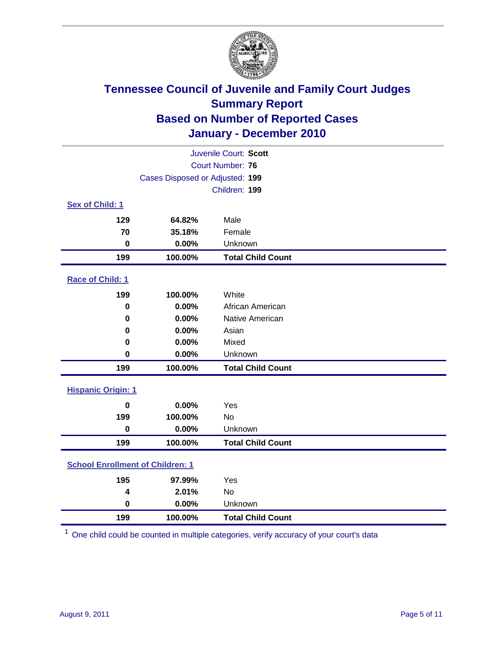

| Juvenile Court: Scott                   |                                 |                          |  |  |
|-----------------------------------------|---------------------------------|--------------------------|--|--|
| <b>Court Number: 76</b>                 |                                 |                          |  |  |
|                                         | Cases Disposed or Adjusted: 199 |                          |  |  |
|                                         |                                 | Children: 199            |  |  |
| Sex of Child: 1                         |                                 |                          |  |  |
| 129                                     | 64.82%                          | Male                     |  |  |
| 70                                      | 35.18%                          | Female                   |  |  |
| $\mathbf 0$                             | 0.00%                           | Unknown                  |  |  |
| 199                                     | 100.00%                         | <b>Total Child Count</b> |  |  |
| Race of Child: 1                        |                                 |                          |  |  |
| 199                                     | 100.00%                         | White                    |  |  |
| $\mathbf 0$                             | 0.00%                           | African American         |  |  |
| 0                                       | 0.00%                           | Native American          |  |  |
| 0                                       | 0.00%                           | Asian                    |  |  |
| 0                                       | 0.00%                           | Mixed                    |  |  |
| $\mathbf 0$                             | 0.00%                           | Unknown                  |  |  |
| 199                                     | 100.00%                         | <b>Total Child Count</b> |  |  |
| <b>Hispanic Origin: 1</b>               |                                 |                          |  |  |
| $\bf{0}$                                | 0.00%                           | Yes                      |  |  |
| 199                                     | 100.00%                         | No                       |  |  |
| $\mathbf 0$                             | 0.00%                           | Unknown                  |  |  |
| 199                                     | 100.00%                         | <b>Total Child Count</b> |  |  |
| <b>School Enrollment of Children: 1</b> |                                 |                          |  |  |
| 195                                     | 97.99%                          | Yes                      |  |  |
| 4                                       | 2.01%                           | No                       |  |  |
| $\mathbf 0$                             | 0.00%                           | Unknown                  |  |  |
| 199                                     | 100.00%                         | <b>Total Child Count</b> |  |  |

One child could be counted in multiple categories, verify accuracy of your court's data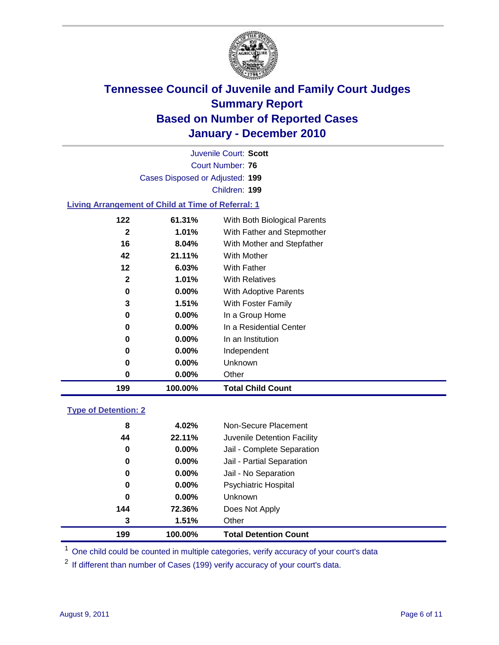

Court Number: **76** Juvenile Court: **Scott** Cases Disposed or Adjusted: **199** Children: **199**

#### **Living Arrangement of Child at Time of Referral: 1**

| 199 | 100.00%  | <b>Total Child Count</b>     |  |
|-----|----------|------------------------------|--|
| 0   | $0.00\%$ | Other                        |  |
| 0   | $0.00\%$ | Unknown                      |  |
| 0   | $0.00\%$ | Independent                  |  |
| 0   | $0.00\%$ | In an Institution            |  |
| 0   | $0.00\%$ | In a Residential Center      |  |
| 0   | $0.00\%$ | In a Group Home              |  |
| 3   | 1.51%    | With Foster Family           |  |
| 0   | $0.00\%$ | With Adoptive Parents        |  |
| 2   | $1.01\%$ | <b>With Relatives</b>        |  |
| 12  | 6.03%    | With Father                  |  |
| 42  | 21.11%   | <b>With Mother</b>           |  |
| 16  | 8.04%    | With Mother and Stepfather   |  |
| 2   | $1.01\%$ | With Father and Stepmother   |  |
| 122 | 61.31%   | With Both Biological Parents |  |
|     |          |                              |  |

#### **Type of Detention: 2**

| 199         | 100.00%  | <b>Total Detention Count</b> |  |
|-------------|----------|------------------------------|--|
| 3           | 1.51%    | Other                        |  |
| 144         | 72.36%   | Does Not Apply               |  |
| $\mathbf 0$ | $0.00\%$ | Unknown                      |  |
| 0           | $0.00\%$ | Psychiatric Hospital         |  |
| 0           | 0.00%    | Jail - No Separation         |  |
| 0           | $0.00\%$ | Jail - Partial Separation    |  |
| 0           | $0.00\%$ | Jail - Complete Separation   |  |
| 44          | 22.11%   | Juvenile Detention Facility  |  |
| 8           | 4.02%    | Non-Secure Placement         |  |
|             |          |                              |  |

<sup>1</sup> One child could be counted in multiple categories, verify accuracy of your court's data

<sup>2</sup> If different than number of Cases (199) verify accuracy of your court's data.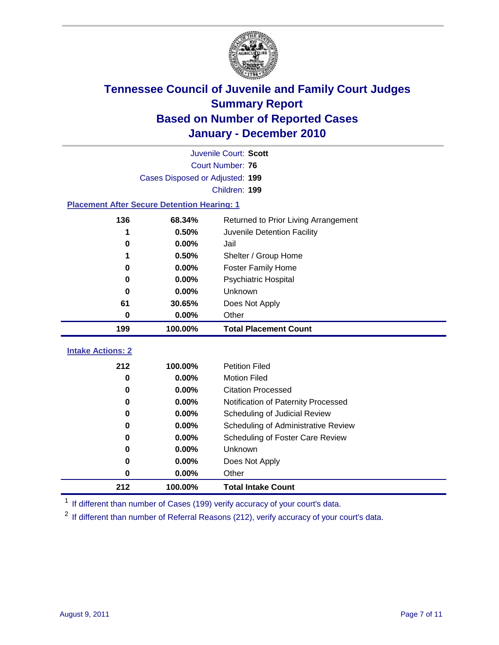

| Juvenile Court: Scott                                 |                                 |                                     |  |  |  |
|-------------------------------------------------------|---------------------------------|-------------------------------------|--|--|--|
|                                                       | <b>Court Number: 76</b>         |                                     |  |  |  |
|                                                       | Cases Disposed or Adjusted: 199 |                                     |  |  |  |
|                                                       |                                 | Children: 199                       |  |  |  |
| <b>Placement After Secure Detention Hearing: 1</b>    |                                 |                                     |  |  |  |
| 136<br>68.34%<br>Returned to Prior Living Arrangement |                                 |                                     |  |  |  |
|                                                       | 0.50%                           | Juvenile Detention Facility         |  |  |  |
| 0                                                     | 0.00%                           | Jail                                |  |  |  |
| 1                                                     | 0.50%                           | Shelter / Group Home                |  |  |  |
| $\bf{0}$                                              | 0.00%                           | <b>Foster Family Home</b>           |  |  |  |
| $\bf{0}$                                              | 0.00%                           | Psychiatric Hospital                |  |  |  |
| 0                                                     | 0.00%                           | Unknown                             |  |  |  |
| 61                                                    | 30.65%                          | Does Not Apply                      |  |  |  |
| $\mathbf 0$                                           | 0.00%                           | Other                               |  |  |  |
|                                                       |                                 |                                     |  |  |  |
| 199                                                   | 100.00%                         | <b>Total Placement Count</b>        |  |  |  |
| <b>Intake Actions: 2</b>                              |                                 |                                     |  |  |  |
| 212                                                   | 100.00%                         | <b>Petition Filed</b>               |  |  |  |
| $\bf{0}$                                              | $0.00\%$                        | <b>Motion Filed</b>                 |  |  |  |
| $\bf{0}$                                              | 0.00%                           | <b>Citation Processed</b>           |  |  |  |
| 0                                                     | 0.00%                           | Notification of Paternity Processed |  |  |  |
| $\bf{0}$                                              | 0.00%                           | Scheduling of Judicial Review       |  |  |  |
| 0                                                     | 0.00%                           | Scheduling of Administrative Review |  |  |  |
| $\bf{0}$                                              | 0.00%                           | Scheduling of Foster Care Review    |  |  |  |
| 0                                                     | 0.00%                           | <b>Unknown</b>                      |  |  |  |
| 0                                                     | 0.00%                           | Does Not Apply                      |  |  |  |

<sup>1</sup> If different than number of Cases (199) verify accuracy of your court's data.

**100.00% Total Intake Count**

<sup>2</sup> If different than number of Referral Reasons (212), verify accuracy of your court's data.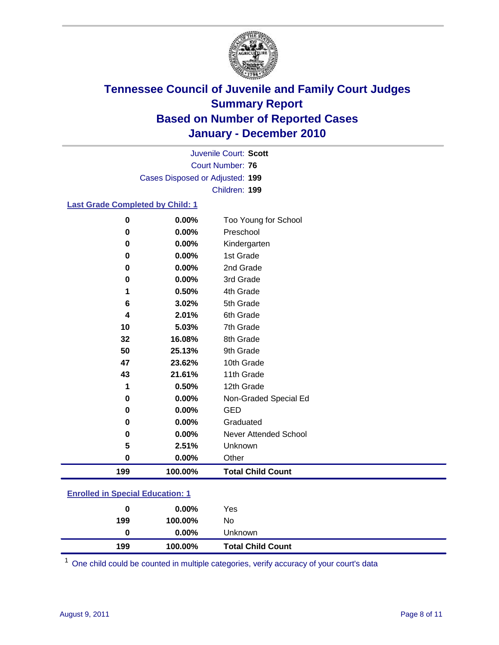

Court Number: **76** Juvenile Court: **Scott** Cases Disposed or Adjusted: **199** Children: **199**

### **Last Grade Completed by Child: 1**

| 0   | 0.00%    | Too Young for School     |
|-----|----------|--------------------------|
| 0   | $0.00\%$ | Preschool                |
| 0   | 0.00%    | Kindergarten             |
| 0   | 0.00%    | 1st Grade                |
| 0   | 0.00%    | 2nd Grade                |
| 0   | 0.00%    | 3rd Grade                |
| 1   | 0.50%    | 4th Grade                |
| 6   | 3.02%    | 5th Grade                |
| 4   | 2.01%    | 6th Grade                |
| 10  | 5.03%    | 7th Grade                |
| 32  | 16.08%   | 8th Grade                |
| 50  | 25.13%   | 9th Grade                |
| 47  | 23.62%   | 10th Grade               |
| 43  | 21.61%   | 11th Grade               |
| 1   | 0.50%    | 12th Grade               |
| 0   | 0.00%    | Non-Graded Special Ed    |
| 0   | 0.00%    | <b>GED</b>               |
| 0   | 0.00%    | Graduated                |
| 0   | 0.00%    | Never Attended School    |
| 5   | 2.51%    | Unknown                  |
| 0   | $0.00\%$ | Other                    |
| 199 | 100.00%  | <b>Total Child Count</b> |

### **Enrolled in Special Education: 1**

| 0   | $0.00\%$ | Yes                      |
|-----|----------|--------------------------|
| 199 | 100.00%  | No                       |
|     | $0.00\%$ | Unknown                  |
| 199 | 100.00%  | <b>Total Child Count</b> |

One child could be counted in multiple categories, verify accuracy of your court's data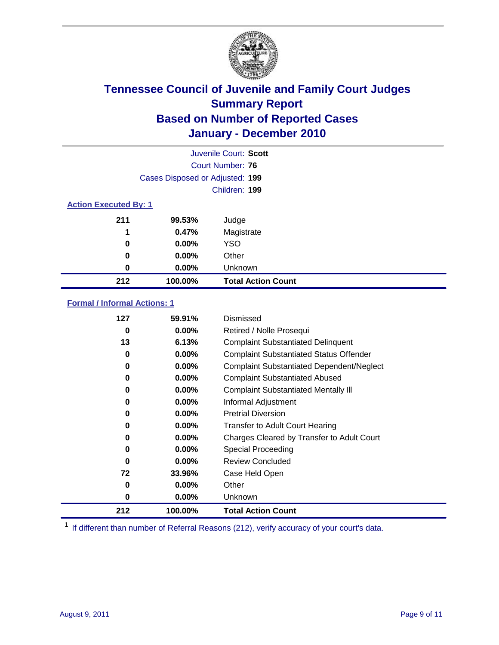

|                              | Juvenile Court: Scott           |                           |  |  |
|------------------------------|---------------------------------|---------------------------|--|--|
|                              | Court Number: 76                |                           |  |  |
|                              | Cases Disposed or Adjusted: 199 |                           |  |  |
|                              | Children: 199                   |                           |  |  |
| <b>Action Executed By: 1</b> |                                 |                           |  |  |
| 211                          | 99.53%                          | Judge                     |  |  |
| 1                            | 0.47%                           | Magistrate                |  |  |
| 0                            | 0.00%                           | <b>YSO</b>                |  |  |
| 0                            | 0.00%                           | Other                     |  |  |
| 0                            | 0.00%                           | Unknown                   |  |  |
| 212                          | 100.00%                         | <b>Total Action Count</b> |  |  |

### **Formal / Informal Actions: 1**

| 127 | 59.91%   | Dismissed                                        |
|-----|----------|--------------------------------------------------|
| 0   | $0.00\%$ | Retired / Nolle Prosequi                         |
| 13  | 6.13%    | <b>Complaint Substantiated Delinquent</b>        |
| 0   | $0.00\%$ | <b>Complaint Substantiated Status Offender</b>   |
| 0   | $0.00\%$ | <b>Complaint Substantiated Dependent/Neglect</b> |
| 0   | $0.00\%$ | <b>Complaint Substantiated Abused</b>            |
| 0   | $0.00\%$ | <b>Complaint Substantiated Mentally III</b>      |
| 0   | $0.00\%$ | Informal Adjustment                              |
| 0   | $0.00\%$ | <b>Pretrial Diversion</b>                        |
| 0   | $0.00\%$ | <b>Transfer to Adult Court Hearing</b>           |
| 0   | $0.00\%$ | Charges Cleared by Transfer to Adult Court       |
| 0   | $0.00\%$ | Special Proceeding                               |
| 0   | $0.00\%$ | <b>Review Concluded</b>                          |
| 72  | 33.96%   | Case Held Open                                   |
| 0   | $0.00\%$ | Other                                            |
| 0   | $0.00\%$ | <b>Unknown</b>                                   |
| 212 | 100.00%  | <b>Total Action Count</b>                        |

<sup>1</sup> If different than number of Referral Reasons (212), verify accuracy of your court's data.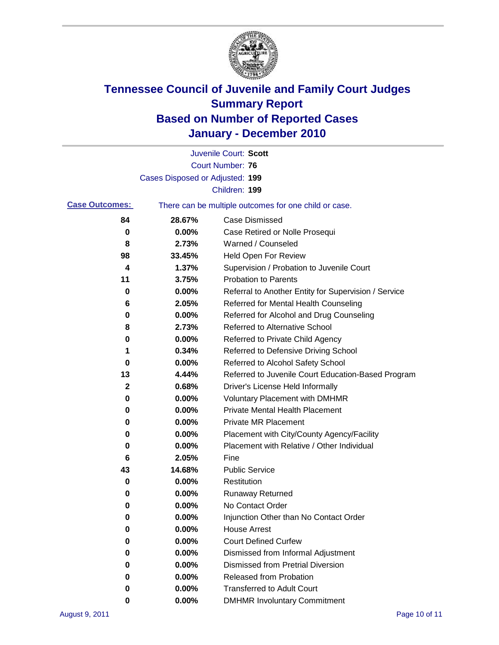

|                       |                                 | Juvenile Court: Scott                                 |
|-----------------------|---------------------------------|-------------------------------------------------------|
|                       |                                 | <b>Court Number: 76</b>                               |
|                       | Cases Disposed or Adjusted: 199 |                                                       |
|                       |                                 | Children: 199                                         |
| <b>Case Outcomes:</b> |                                 | There can be multiple outcomes for one child or case. |
| 84                    | 28.67%                          | <b>Case Dismissed</b>                                 |
| 0                     | 0.00%                           | Case Retired or Nolle Prosequi                        |
| 8                     | 2.73%                           | Warned / Counseled                                    |
| 98                    | 33.45%                          | Held Open For Review                                  |
| 4                     | 1.37%                           | Supervision / Probation to Juvenile Court             |
| 11                    | 3.75%                           | <b>Probation to Parents</b>                           |
| 0                     | 0.00%                           | Referral to Another Entity for Supervision / Service  |
| 6                     | 2.05%                           | Referred for Mental Health Counseling                 |
| 0                     | 0.00%                           | Referred for Alcohol and Drug Counseling              |
| 8                     | 2.73%                           | <b>Referred to Alternative School</b>                 |
| 0                     | 0.00%                           | Referred to Private Child Agency                      |
| 1                     | 0.34%                           | Referred to Defensive Driving School                  |
| 0                     | 0.00%                           | Referred to Alcohol Safety School                     |
| 13                    | 4.44%                           | Referred to Juvenile Court Education-Based Program    |
| 2                     | 0.68%                           | Driver's License Held Informally                      |
| 0                     | 0.00%                           | <b>Voluntary Placement with DMHMR</b>                 |
| 0                     | 0.00%                           | <b>Private Mental Health Placement</b>                |
| 0                     | 0.00%                           | <b>Private MR Placement</b>                           |
| 0                     | 0.00%                           | Placement with City/County Agency/Facility            |
| 0                     | 0.00%                           | Placement with Relative / Other Individual            |
| 6                     | 2.05%                           | Fine                                                  |
| 43                    | 14.68%                          | <b>Public Service</b>                                 |
| 0                     | 0.00%                           | Restitution                                           |
| 0                     | 0.00%                           | <b>Runaway Returned</b>                               |
| 0                     | 0.00%                           | No Contact Order                                      |
| 0                     | 0.00%                           | Injunction Other than No Contact Order                |
| 0                     | 0.00%                           | <b>House Arrest</b>                                   |
| 0                     | $0.00\%$                        | <b>Court Defined Curfew</b>                           |
| 0                     | $0.00\%$                        | Dismissed from Informal Adjustment                    |
| 0                     | $0.00\%$                        | <b>Dismissed from Pretrial Diversion</b>              |
| 0                     | 0.00%                           | Released from Probation                               |
| 0                     | $0.00\%$                        | <b>Transferred to Adult Court</b>                     |
| 0                     | $0.00\%$                        | <b>DMHMR Involuntary Commitment</b>                   |